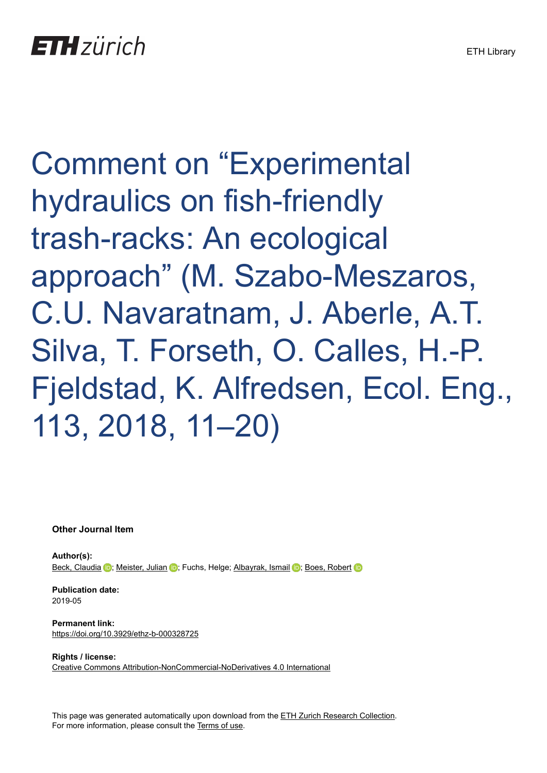Comment on "Experimental hydraulics on fish-friendly trash-racks: An ecological approach" (M. Szabo-Meszaros, C.U. Navaratnam, J. Aberle, A.T. Silva, T. Forseth, O. Calles, H.-P. Fjeldstad, K. Alfredsen, Ecol. Eng., 113, 2018, 11–20)

**Other Journal Item**

**Author(s):** [Beck, Claudia](https://orcid.org/0000-0001-9021-1378) iD; [Meister, Julian](https://orcid.org/0000-0002-2715-6780) iD; Fuchs, Helge; [Albayrak, Ismail](https://orcid.org/0000-0002-4613-6726) iD; [Boes, Robert](https://orcid.org/0000-0002-0319-976X) iD

**Publication date:** 2019-05

**Permanent link:** <https://doi.org/10.3929/ethz-b-000328725>

**Rights / license:** [Creative Commons Attribution-NonCommercial-NoDerivatives 4.0 International](http://creativecommons.org/licenses/by-nc-nd/4.0/)

This page was generated automatically upon download from the [ETH Zurich Research Collection.](https://www.research-collection.ethz.ch) For more information, please consult the [Terms of use](https://www.research-collection.ethz.ch/terms-of-use).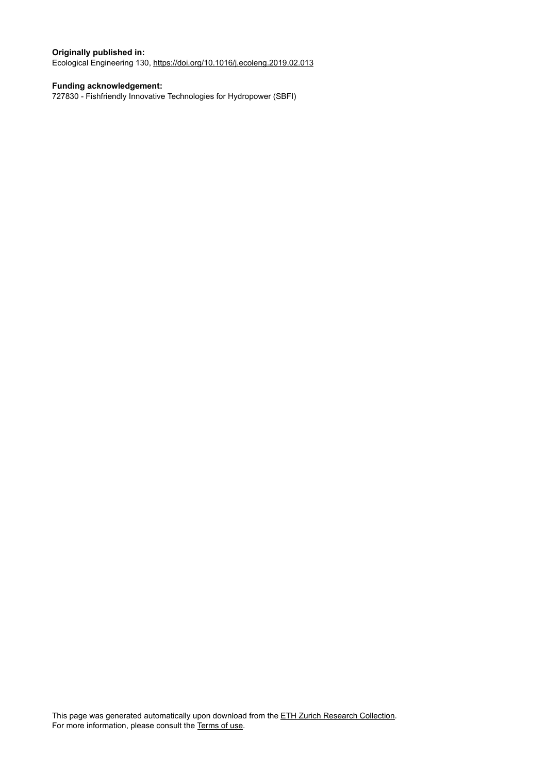## **Originally published in:**

Ecological Engineering 130, <https://doi.org/10.1016/j.ecoleng.2019.02.013>

## **Funding acknowledgement:**

727830 - Fishfriendly Innovative Technologies for Hydropower (SBFI)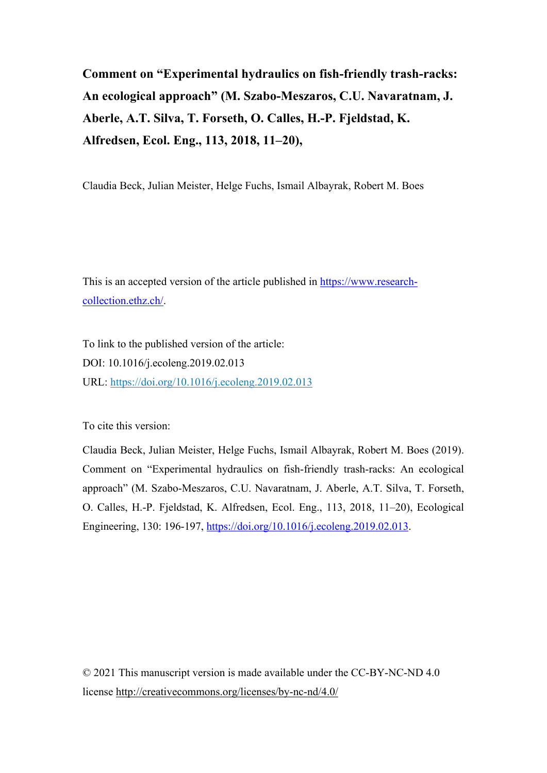**Comment on "Experimental hydraulics on fish-friendly trash-racks: An ecological approach" (M. Szabo-Meszaros, C.U. Navaratnam, J. Aberle, A.T. Silva, T. Forseth, O. Calles, H.-P. Fjeldstad, K. Alfredsen, Ecol. Eng., 113, 2018, 11–20),**

Claudia Beck, Julian Meister, Helge Fuchs, Ismail Albayrak, Robert M. Boes

This is an accepted version of the article published in [https://www.research](https://www.research-collection.ethz.ch/)[collection.ethz.ch/.](https://www.research-collection.ethz.ch/)

To link to the published version of the article: DOI: 10.1016/j.ecoleng.2019.02.013 URL: <https://doi.org/10.1016/j.ecoleng.2019.02.013>

To cite this version:

Claudia Beck, Julian Meister, Helge Fuchs, Ismail Albayrak, Robert M. Boes (2019). Comment on "Experimental hydraulics on fish-friendly trash-racks: An ecological approach" (M. Szabo-Meszaros, C.U. Navaratnam, J. Aberle, A.T. Silva, T. Forseth, O. Calles, H.-P. Fjeldstad, K. Alfredsen, Ecol. Eng., 113, 2018, 11–20), Ecological Engineering, 130: 196-197, [https://doi.org/10.1016/j.ecoleng.2019.02.013.](https://doi.org/10.1016/j.ecoleng.2019.02.013)

© 2021 This manuscript version is made available under the CC-BY-NC-ND 4.0 license [http://creativecommons.org/licenses/by-nc-nd/4.0/](http://creativecommons.org/licenses/by-nc-nd/4.0)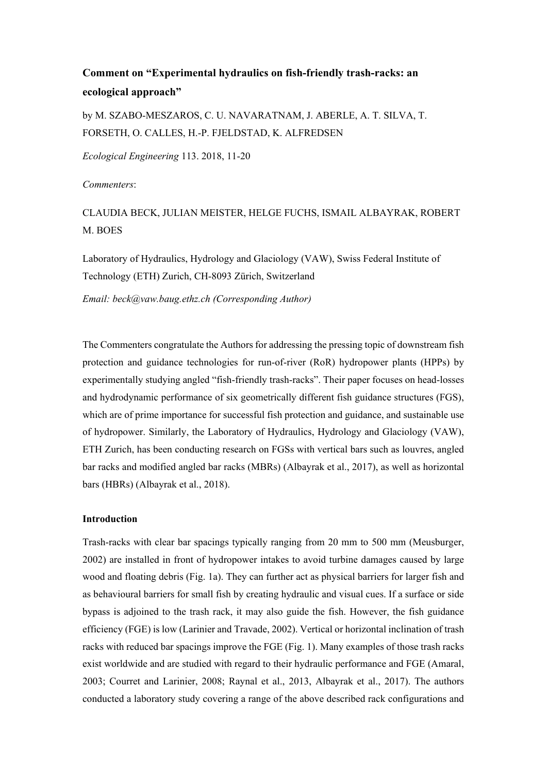# **Comment on "Experimental hydraulics on fish-friendly trash-racks: an ecological approach"**

by M. SZABO-MESZAROS, C. U. NAVARATNAM, J. ABERLE, A. T. SILVA, T. FORSETH, O. CALLES, H.-P. FJELDSTAD, K. ALFREDSEN

*Ecological Engineering* 113. 2018, 11-20

*Commenters*:

## CLAUDIA BECK, JULIAN MEISTER, HELGE FUCHS, ISMAIL ALBAYRAK, ROBERT M. BOES

Laboratory of Hydraulics, Hydrology and Glaciology (VAW), Swiss Federal Institute of Technology (ETH) Zurich, CH-8093 Zürich, Switzerland

*Email: beck@vaw.baug.ethz.ch (Corresponding Author)*

The Commenters congratulate the Authors for addressing the pressing topic of downstream fish protection and guidance technologies for run-of-river (RoR) hydropower plants (HPPs) by experimentally studying angled "fish-friendly trash-racks". Their paper focuses on head-losses and hydrodynamic performance of six geometrically different fish guidance structures (FGS), which are of prime importance for successful fish protection and guidance, and sustainable use of hydropower. Similarly, the Laboratory of Hydraulics, Hydrology and Glaciology (VAW), ETH Zurich, has been conducting research on FGSs with vertical bars such as louvres, angled bar racks and modified angled bar racks (MBRs) (Albayrak et al., 2017), as well as horizontal bars (HBRs) (Albayrak et al., 2018).

## **Introduction**

Trash-racks with clear bar spacings typically ranging from 20 mm to 500 mm (Meusburger, 2002) are installed in front of hydropower intakes to avoid turbine damages caused by large wood and floating debris (Fig. 1a). They can further act as physical barriers for larger fish and as behavioural barriers for small fish by creating hydraulic and visual cues. If a surface or side bypass is adjoined to the trash rack, it may also guide the fish. However, the fish guidance efficiency (FGE) is low (Larinier and Travade, 2002). Vertical or horizontal inclination of trash racks with reduced bar spacings improve the FGE (Fig. 1). Many examples of those trash racks exist worldwide and are studied with regard to their hydraulic performance and FGE (Amaral, 2003; Courret and Larinier, 2008; Raynal et al., 2013, Albayrak et al., 2017). The authors conducted a laboratory study covering a range of the above described rack configurations and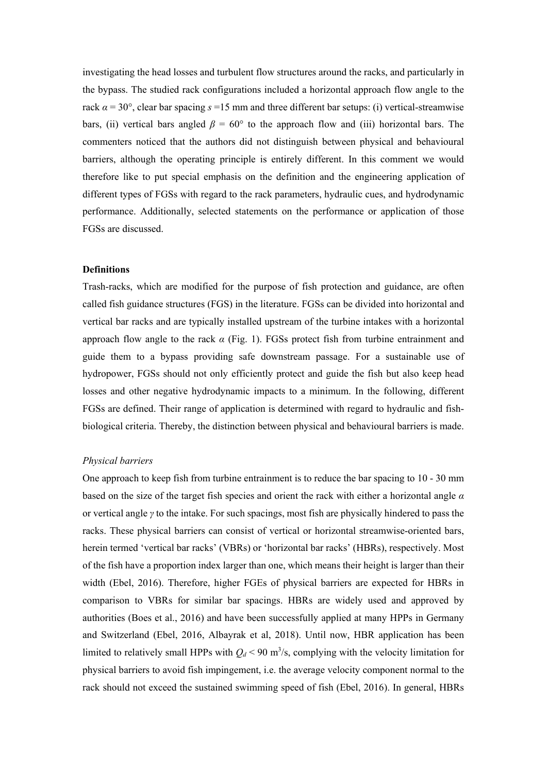investigating the head losses and turbulent flow structures around the racks, and particularly in the bypass. The studied rack configurations included a horizontal approach flow angle to the rack  $\alpha = 30^{\circ}$ , clear bar spacing  $s = 15$  mm and three different bar setups: (i) vertical-streamwise bars, (ii) vertical bars angled  $\beta = 60^{\circ}$  to the approach flow and (iii) horizontal bars. The commenters noticed that the authors did not distinguish between physical and behavioural barriers, although the operating principle is entirely different. In this comment we would therefore like to put special emphasis on the definition and the engineering application of different types of FGSs with regard to the rack parameters, hydraulic cues, and hydrodynamic performance. Additionally, selected statements on the performance or application of those FGSs are discussed.

## **Definitions**

Trash-racks, which are modified for the purpose of fish protection and guidance, are often called fish guidance structures (FGS) in the literature. FGSs can be divided into horizontal and vertical bar racks and are typically installed upstream of the turbine intakes with a horizontal approach flow angle to the rack *α* (Fig. 1). FGSs protect fish from turbine entrainment and guide them to a bypass providing safe downstream passage. For a sustainable use of hydropower, FGSs should not only efficiently protect and guide the fish but also keep head losses and other negative hydrodynamic impacts to a minimum. In the following, different FGSs are defined. Their range of application is determined with regard to hydraulic and fishbiological criteria. Thereby, the distinction between physical and behavioural barriers is made.

#### *Physical barriers*

One approach to keep fish from turbine entrainment is to reduce the bar spacing to 10 - 30 mm based on the size of the target fish species and orient the rack with either a horizontal angle *α* or vertical angle *γ* to the intake. For such spacings, most fish are physically hindered to pass the racks. These physical barriers can consist of vertical or horizontal streamwise-oriented bars, herein termed 'vertical bar racks' (VBRs) or 'horizontal bar racks' (HBRs), respectively. Most of the fish have a proportion index larger than one, which means their height is larger than their width (Ebel, 2016). Therefore, higher FGEs of physical barriers are expected for HBRs in comparison to VBRs for similar bar spacings. HBRs are widely used and approved by authorities (Boes et al., 2016) and have been successfully applied at many HPPs in Germany and Switzerland (Ebel, 2016, Albayrak et al, 2018). Until now, HBR application has been limited to relatively small HPPs with  $Q_d < 90$  m<sup>3</sup>/s, complying with the velocity limitation for physical barriers to avoid fish impingement, i.e. the average velocity component normal to the rack should not exceed the sustained swimming speed of fish (Ebel, 2016). In general, HBRs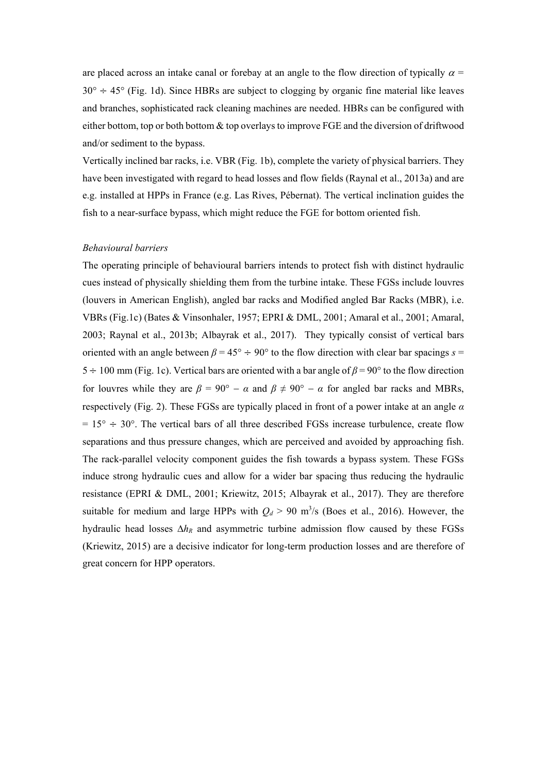are placed across an intake canal or forebay at an angle to the flow direction of typically  $\alpha$  =  $30^\circ \div 45^\circ$  (Fig. 1d). Since HBRs are subject to clogging by organic fine material like leaves and branches, sophisticated rack cleaning machines are needed. HBRs can be configured with either bottom, top or both bottom & top overlays to improve FGE and the diversion of driftwood and/or sediment to the bypass.

Vertically inclined bar racks, i.e. VBR (Fig. 1b), complete the variety of physical barriers. They have been investigated with regard to head losses and flow fields (Raynal et al., 2013a) and are e.g. installed at HPPs in France (e.g. Las Rives, Pébernat). The vertical inclination guides the fish to a near-surface bypass, which might reduce the FGE for bottom oriented fish.

## *Behavioural barriers*

The operating principle of behavioural barriers intends to protect fish with distinct hydraulic cues instead of physically shielding them from the turbine intake. These FGSs include louvres (louvers in American English), angled bar racks and Modified angled Bar Racks (MBR), i.e. VBRs (Fig.1c) (Bates & Vinsonhaler, 1957; EPRI & DML, 2001; Amaral et al., 2001; Amaral, 2003; Raynal et al., 2013b; Albayrak et al., 2017). They typically consist of vertical bars oriented with an angle between  $\beta = 45^{\circ} \div 90^{\circ}$  to the flow direction with clear bar spacings  $s =$ 5 ÷ 100 mm (Fig. 1c). Vertical bars are oriented with a bar angle of *β* = 90° to the flow direction for louvres while they are  $\beta = 90^{\circ} - \alpha$  and  $\beta \neq 90^{\circ} - \alpha$  for angled bar racks and MBRs, respectively (Fig. 2). These FGSs are typically placed in front of a power intake at an angle *α*  $= 15^{\circ} \div 30^{\circ}$ . The vertical bars of all three described FGSs increase turbulence, create flow separations and thus pressure changes, which are perceived and avoided by approaching fish. The rack-parallel velocity component guides the fish towards a bypass system. These FGSs induce strong hydraulic cues and allow for a wider bar spacing thus reducing the hydraulic resistance (EPRI & DML, 2001; Kriewitz, 2015; Albayrak et al., 2017). They are therefore suitable for medium and large HPPs with  $Q_d > 90$  m<sup>3</sup>/s (Boes et al., 2016). However, the hydraulic head losses ∆*hR* and asymmetric turbine admission flow caused by these FGSs (Kriewitz, 2015) are a decisive indicator for long-term production losses and are therefore of great concern for HPP operators.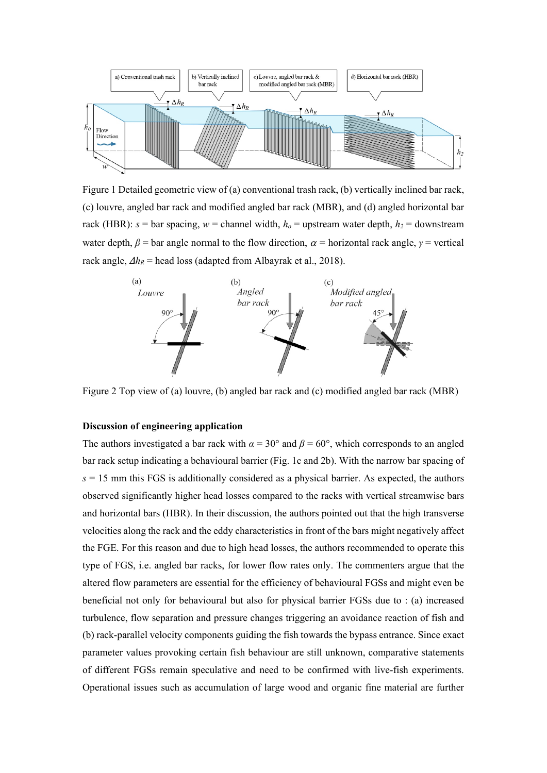

Figure 1 Detailed geometric view of (a) conventional trash rack, (b) vertically inclined bar rack, (c) louvre, angled bar rack and modified angled bar rack (MBR), and (d) angled horizontal bar rack (HBR):  $s =$  bar spacing,  $w =$  channel width,  $h<sub>o</sub> =$  upstream water depth,  $h<sub>2</sub> =$  downstream water depth,  $\beta$  = bar angle normal to the flow direction,  $\alpha$  = horizontal rack angle,  $\gamma$  = vertical rack angle,  $\Delta h_R$  = head loss (adapted from Albayrak et al., 2018).



Figure 2 Top view of (a) louvre, (b) angled bar rack and (c) modified angled bar rack (MBR)

## **Discussion of engineering application**

The authors investigated a bar rack with  $\alpha = 30^{\circ}$  and  $\beta = 60^{\circ}$ , which corresponds to an angled bar rack setup indicating a behavioural barrier (Fig. 1c and 2b). With the narrow bar spacing of  $s = 15$  mm this FGS is additionally considered as a physical barrier. As expected, the authors observed significantly higher head losses compared to the racks with vertical streamwise bars and horizontal bars (HBR). In their discussion, the authors pointed out that the high transverse velocities along the rack and the eddy characteristics in front of the bars might negatively affect the FGE. For this reason and due to high head losses, the authors recommended to operate this type of FGS, i.e. angled bar racks, for lower flow rates only. The commenters argue that the altered flow parameters are essential for the efficiency of behavioural FGSs and might even be beneficial not only for behavioural but also for physical barrier FGSs due to : (a) increased turbulence, flow separation and pressure changes triggering an avoidance reaction of fish and (b) rack-parallel velocity components guiding the fish towards the bypass entrance. Since exact parameter values provoking certain fish behaviour are still unknown, comparative statements of different FGSs remain speculative and need to be confirmed with live-fish experiments. Operational issues such as accumulation of large wood and organic fine material are further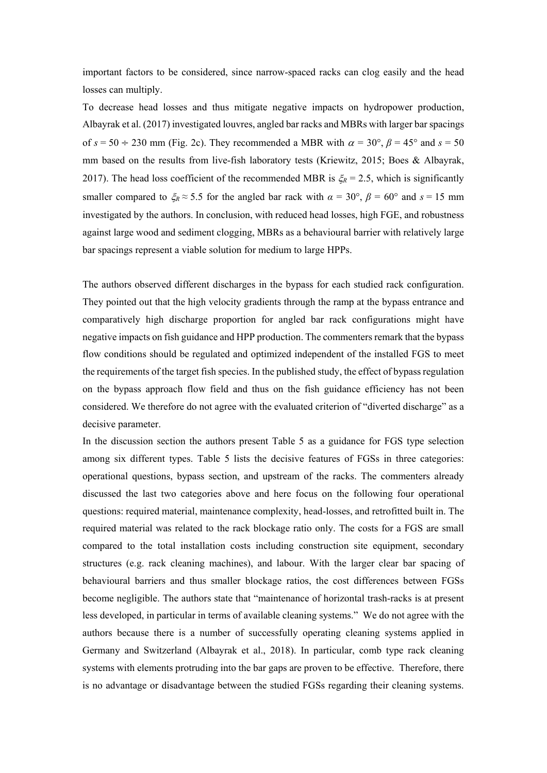important factors to be considered, since narrow-spaced racks can clog easily and the head losses can multiply.

To decrease head losses and thus mitigate negative impacts on hydropower production, Albayrak et al. (2017) investigated louvres, angled bar racks and MBRs with larger bar spacings of  $s = 50 \div 230$  mm (Fig. 2c). They recommended a MBR with  $\alpha = 30^{\circ}$ ,  $\beta = 45^{\circ}$  and  $s = 50$ mm based on the results from live-fish laboratory tests (Kriewitz, 2015; Boes & Albayrak, 2017). The head loss coefficient of the recommended MBR is  $\xi_R = 2.5$ , which is significantly smaller compared to  $\zeta_R \approx 5.5$  for the angled bar rack with  $\alpha = 30^\circ$ ,  $\beta = 60^\circ$  and  $s = 15$  mm investigated by the authors. In conclusion, with reduced head losses, high FGE, and robustness against large wood and sediment clogging, MBRs as a behavioural barrier with relatively large bar spacings represent a viable solution for medium to large HPPs.

The authors observed different discharges in the bypass for each studied rack configuration. They pointed out that the high velocity gradients through the ramp at the bypass entrance and comparatively high discharge proportion for angled bar rack configurations might have negative impacts on fish guidance and HPP production. The commenters remark that the bypass flow conditions should be regulated and optimized independent of the installed FGS to meet the requirements of the target fish species. In the published study, the effect of bypass regulation on the bypass approach flow field and thus on the fish guidance efficiency has not been considered. We therefore do not agree with the evaluated criterion of "diverted discharge" as a decisive parameter.

In the discussion section the authors present Table 5 as a guidance for FGS type selection among six different types. Table 5 lists the decisive features of FGSs in three categories: operational questions, bypass section, and upstream of the racks. The commenters already discussed the last two categories above and here focus on the following four operational questions: required material, maintenance complexity, head-losses, and retrofitted built in. The required material was related to the rack blockage ratio only. The costs for a FGS are small compared to the total installation costs including construction site equipment, secondary structures (e.g. rack cleaning machines), and labour. With the larger clear bar spacing of behavioural barriers and thus smaller blockage ratios, the cost differences between FGSs become negligible. The authors state that "maintenance of horizontal trash-racks is at present less developed, in particular in terms of available cleaning systems." We do not agree with the authors because there is a number of successfully operating cleaning systems applied in Germany and Switzerland (Albayrak et al., 2018). In particular, comb type rack cleaning systems with elements protruding into the bar gaps are proven to be effective. Therefore, there is no advantage or disadvantage between the studied FGSs regarding their cleaning systems.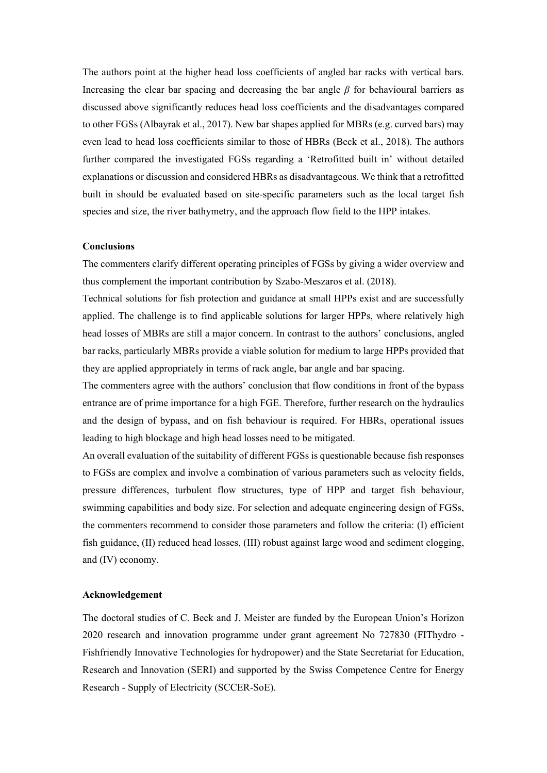The authors point at the higher head loss coefficients of angled bar racks with vertical bars. Increasing the clear bar spacing and decreasing the bar angle *β* for behavioural barriers as discussed above significantly reduces head loss coefficients and the disadvantages compared to other FGSs (Albayrak et al., 2017). New bar shapes applied for MBRs (e.g. curved bars) may even lead to head loss coefficients similar to those of HBRs (Beck et al., 2018). The authors further compared the investigated FGSs regarding a 'Retrofitted built in' without detailed explanations or discussion and considered HBRs as disadvantageous. We think that a retrofitted built in should be evaluated based on site-specific parameters such as the local target fish species and size, the river bathymetry, and the approach flow field to the HPP intakes.

## **Conclusions**

The commenters clarify different operating principles of FGSs by giving a wider overview and thus complement the important contribution by Szabo-Meszaros et al. (2018).

Technical solutions for fish protection and guidance at small HPPs exist and are successfully applied. The challenge is to find applicable solutions for larger HPPs, where relatively high head losses of MBRs are still a major concern. In contrast to the authors' conclusions, angled bar racks, particularly MBRs provide a viable solution for medium to large HPPs provided that they are applied appropriately in terms of rack angle, bar angle and bar spacing.

The commenters agree with the authors' conclusion that flow conditions in front of the bypass entrance are of prime importance for a high FGE. Therefore, further research on the hydraulics and the design of bypass, and on fish behaviour is required. For HBRs, operational issues leading to high blockage and high head losses need to be mitigated.

An overall evaluation of the suitability of different FGSs is questionable because fish responses to FGSs are complex and involve a combination of various parameters such as velocity fields, pressure differences, turbulent flow structures, type of HPP and target fish behaviour, swimming capabilities and body size. For selection and adequate engineering design of FGSs, the commenters recommend to consider those parameters and follow the criteria: (I) efficient fish guidance, (II) reduced head losses, (III) robust against large wood and sediment clogging, and (IV) economy.

#### **Acknowledgement**

The doctoral studies of C. Beck and J. Meister are funded by the European Union's Horizon 2020 research and innovation programme under grant agreement No 727830 (FIThydro - Fishfriendly Innovative Technologies for hydropower) and the State Secretariat for Education, Research and Innovation (SERI) and supported by the Swiss Competence Centre for Energy Research - Supply of Electricity (SCCER-SoE).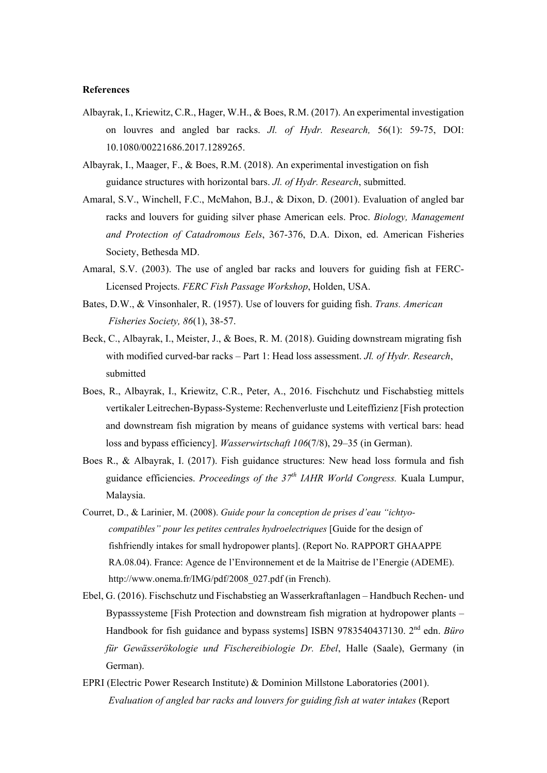#### **References**

- Albayrak, I., Kriewitz, C.R., Hager, W.H., & Boes, R.M. (2017). An experimental investigation on louvres and angled bar racks. *Jl. of Hydr. Research,* 56(1): 59-75, DOI: 10.1080/00221686.2017.1289265.
- Albayrak, I., Maager, F., & Boes, R.M. (2018). An experimental investigation on fish guidance structures with horizontal bars. *Jl. of Hydr. Research*, submitted.
- Amaral, S.V., Winchell, F.C., McMahon, B.J., & Dixon, D. (2001). Evaluation of angled bar racks and louvers for guiding silver phase American eels. Proc. *Biology, Management and Protection of Catadromous Eels*, 367-376, D.A. Dixon, ed. American Fisheries Society, Bethesda MD.
- Amaral, S.V. (2003). The use of angled bar racks and louvers for guiding fish at FERC-Licensed Projects. *FERC Fish Passage Workshop*, Holden, USA.
- Bates, D.W., & Vinsonhaler, R. (1957). Use of louvers for guiding fish. *Trans. American Fisheries Society, 86*(1), 38-57.
- Beck, C., Albayrak, I., Meister, J., & Boes, R. M. (2018). Guiding downstream migrating fish with modified curved-bar racks – Part 1: Head loss assessment. *Jl. of Hydr. Research*, submitted
- Boes, R., Albayrak, I., Kriewitz, C.R., Peter, A., 2016. Fischchutz und Fischabstieg mittels vertikaler Leitrechen-Bypass-Systeme: Rechenverluste und Leiteffizienz [Fish protection and downstream fish migration by means of guidance systems with vertical bars: head loss and bypass efficiency]. *Wasserwirtschaft 106*(7/8), 29–35 (in German).
- Boes R., & Albayrak, I. (2017). Fish guidance structures: New head loss formula and fish guidance efficiencies. *Proceedings of the 37th IAHR World Congress.* Kuala Lumpur, Malaysia.
- Courret, D., & Larinier, M. (2008). *Guide pour la conception de prises d'eau "ichtyocompatibles" pour les petites centrales hydroelectriques* [Guide for the design of fishfriendly intakes for small hydropower plants]. (Report No. RAPPORT GHAAPPE RA.08.04). France: Agence de l'Environnement et de la Maitrise de l'Energie (ADEME). http://www.onema.fr/IMG/pdf/2008\_027.pdf (in French).
- Ebel, G. (2016). Fischschutz und Fischabstieg an Wasserkraftanlagen Handbuch Rechen- und Bypasssysteme [Fish Protection and downstream fish migration at hydropower plants – Handbook for fish guidance and bypass systems] ISBN 9783540437130. 2nd edn. *Büro für Gewässerökologie und Fischereibiologie Dr. Ebel*, Halle (Saale), Germany (in German).
- EPRI (Electric Power Research Institute) & Dominion Millstone Laboratories (2001). *Evaluation of angled bar racks and louvers for guiding fish at water intakes* (Report